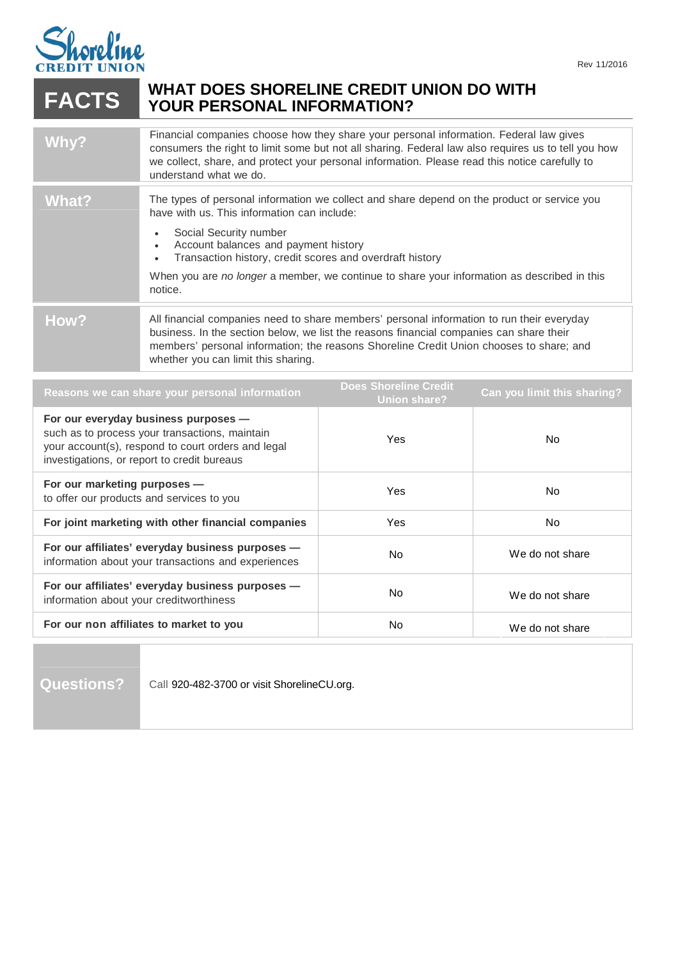

## **WHAT DOES SHORELINE CREDIT UNION DO WITH FACTS YOUR PERSONAL INFORMATION?**

| Why?         | Financial companies choose how they share your personal information. Federal law gives<br>consumers the right to limit some but not all sharing. Federal law also requires us to tell you how<br>we collect, share, and protect your personal information. Please read this notice carefully to<br>understand what we do. |
|--------------|---------------------------------------------------------------------------------------------------------------------------------------------------------------------------------------------------------------------------------------------------------------------------------------------------------------------------|
| <b>What?</b> | The types of personal information we collect and share depend on the product or service you<br>have with us. This information can include:<br>Social Security number<br>Account balances and payment history                                                                                                              |
|              | Transaction history, credit scores and overdraft history<br>When you are no longer a member, we continue to share your information as described in this<br>notice.                                                                                                                                                        |
| How?         | All financial companies need to share members' personal information to run their everyday<br>business. In the section below, we list the reasons financial companies can share their<br>members' personal information; the reasons Shoreline Credit Union chooses to share; and<br>whether you can limit this sharing.    |

| Reasons we can share your personal information                                                                                                                                              | <b>Does Shoreline Credit</b><br><b>Union share?</b> | Can you limit this sharing? |
|---------------------------------------------------------------------------------------------------------------------------------------------------------------------------------------------|-----------------------------------------------------|-----------------------------|
| For our everyday business purposes -<br>such as to process your transactions, maintain<br>your account(s), respond to court orders and legal<br>investigations, or report to credit bureaus | Yes                                                 | No.                         |
| For our marketing purposes -<br>to offer our products and services to you                                                                                                                   | Yes                                                 | No.                         |
| For joint marketing with other financial companies                                                                                                                                          | Yes                                                 | N <sub>0</sub>              |
| For our affiliates' everyday business purposes -<br>information about your transactions and experiences                                                                                     | <b>No</b>                                           | We do not share             |
| For our affiliates' everyday business purposes -<br>information about your creditworthiness                                                                                                 | <b>No</b>                                           | We do not share             |
| For our non affiliates to market to you                                                                                                                                                     | No                                                  | We do not share             |

Questions? Call 920-482-3700 or visit ShorelineCU.org.